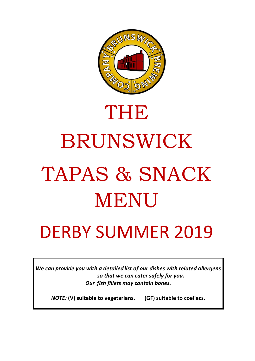

# THE

# BRUNSWICK TAPAS & SNACK MENU

# DERBY SUMMER 2019

*We can provide you with a detailed list of our dishes with related allergens so that we can cater safely for you. Our fish fillets may contain bones.*

*NOTE:* **(V) suitable to vegetarians. (GF) suitable to coeliacs.**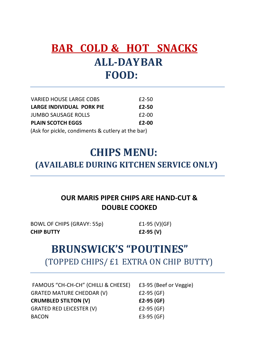# **BAR COLD & HOT SNACKS ALL-DAYBAR FOOD:**

| <b>VARIED HOUSE LARGE COBS</b>                    | $£2-50$ |  |
|---------------------------------------------------|---------|--|
| LARGE INDIVIDUAL PORK PIE                         | £2-50   |  |
| <b>JUMBO SAUSAGE ROLLS</b>                        | $£2-00$ |  |
| <b>PLAIN SCOTCH EGGS</b>                          | $E2-00$ |  |
| (Ask for pickle, condiments & cutlery at the bar) |         |  |

# **CHIPS MENU: (AVAILABLE DURING KITCHEN SERVICE ONLY)**

#### **OUR MARIS PIPER CHIPS ARE HAND-CUT & DOUBLE COOKED**

BOWL OF CHIPS (GRAVY: 55p) £1-95 (V)(GF) **CHIP BUTTY £2-95 (V)** 

# **BRUNSWICK'S "POUTINES"** (TOPPED CHIPS/ £1 EXTRA ON CHIP BUTTY)

| FAMOUS "CH-CH-CH" (CHILLI & CHEESE) | £3-95 (Beef or Veggie) |
|-------------------------------------|------------------------|
| <b>GRATED MATURE CHEDDAR (V)</b>    | £2-95 $(GF)$           |
| <b>CRUMBLED STILTON (V)</b>         | $£2-95(GF)$            |
| <b>GRATED RED LEICESTER (V)</b>     | £2-95 $(GF)$           |
| <b>BACON</b>                        | $f3-95$ (GF)           |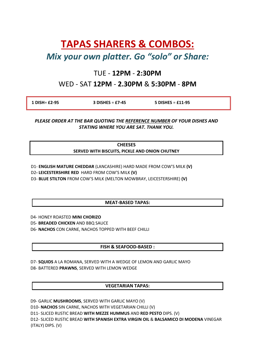## **TAPAS SHARERS & COMBOS:**

#### *Mix your own platter. Go "solo" or Share:*

#### TUE - **12PM** - **2:30PM**

#### WED - SAT **12PM** - **2.30PM** & **5:30PM** - **8PM**

| 1 DISH= £2-95 | $3$ DISHES = £7-45 | $5$ DISHES = £11-95 |
|---------------|--------------------|---------------------|
|               |                    |                     |

*PLEASE ORDER AT THE BAR QUOTING THE REFERENCE NUMBER OF YOUR DISHES AND STATING WHERE YOU ARE SAT. THANK YOU.*

> **CHEESES SERVED WITH BISCUITS, PICKLE AND ONION CHUTNEY**

- D1- **ENGLISH MATURE CHEDDAR** (LANCASHIRE) HARD MADE FROM COW'S MILK **(V)**
- D2**- LEICESTERSHIRE RED** HARD FROM COW'S MILK **(V)**
- D3- **BLUE STILTON** FROM COW'S MILK (MELTON MOWBRAY, LEICESTERSHIRE) **(V)**

#### **MEAT-BASED TAPAS:**

D4- HONEY ROASTED **MINI CHORIZO**

- D5- **BREADED CHICKEN** AND BBQ SAUCE
- D6- **NACHOS** CON CARNE, NACHOS TOPPED WITH BEEF CHILLI

#### **FISH & SEAFOOD-BASED :**

D7- **SQUIDS** A LA ROMANA, SERVED WITH A WEDGE OF LEMON AND GARLIC MAYO D8- BATTERED **PRAWNS**, SERVED WITH LEMON WEDGE

#### **VEGETARIAN TAPAS:**

D9- GARLIC **MUSHROOMS**, SERVED WITH GARLIC MAYO (V) D10- **NACHOS** SIN CARNE, NACHOS WITH VEGETARIAN CHILLI (V) D11- SLICED RUSTIC BREAD **WITH MEZZE HUMMUS** AND **RED PESTO** DIPS. (V) D12- SLICED RUSTIC BREAD **WITH SPANISH EXTRA VIRGIN OIL** & **BALSAMICO DI MODENA** VINEGAR (ITALY) DIPS. (V)